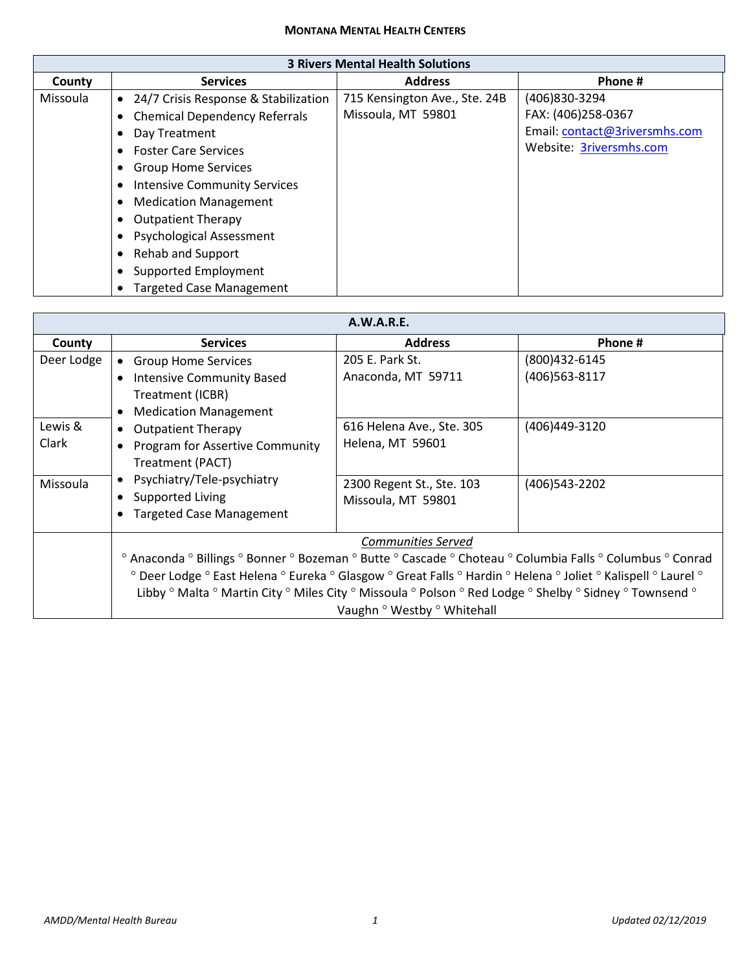## **MONTANA MENTAL HEALTH CENTERS**

| <b>3 Rivers Mental Health Solutions</b> |                                                   |                               |                               |
|-----------------------------------------|---------------------------------------------------|-------------------------------|-------------------------------|
| County                                  | <b>Services</b>                                   | <b>Address</b>                | Phone #                       |
| <b>Missoula</b>                         | 24/7 Crisis Response & Stabilization<br>$\bullet$ | 715 Kensington Ave., Ste. 24B | (406)830-3294                 |
|                                         | <b>Chemical Dependency Referrals</b><br>٠         | Missoula, MT 59801            | FAX: (406)258-0367            |
|                                         | Day Treatment<br>٠                                |                               | Email: contact@3riversmhs.com |
|                                         | <b>Foster Care Services</b><br>$\bullet$          |                               | Website: 3riversmhs.com       |
|                                         | <b>Group Home Services</b><br>٠                   |                               |                               |
|                                         | <b>Intensive Community Services</b><br>٠          |                               |                               |
|                                         | <b>Medication Management</b><br>٠                 |                               |                               |
|                                         | <b>Outpatient Therapy</b><br>٠                    |                               |                               |
|                                         | <b>Psychological Assessment</b><br>$\bullet$      |                               |                               |
|                                         | <b>Rehab and Support</b><br>٠                     |                               |                               |
|                                         | Supported Employment<br>٠                         |                               |                               |
|                                         | <b>Targeted Case Management</b><br>٠              |                               |                               |

## **A.W.A.R.E.**

| <b>A.W.A.I.L.</b> |                                                                                                                                                                                                                                                                                                                                                                      |                           |                  |
|-------------------|----------------------------------------------------------------------------------------------------------------------------------------------------------------------------------------------------------------------------------------------------------------------------------------------------------------------------------------------------------------------|---------------------------|------------------|
| County            | <b>Services</b>                                                                                                                                                                                                                                                                                                                                                      | <b>Address</b>            | Phone #          |
| Deer Lodge        | <b>Group Home Services</b>                                                                                                                                                                                                                                                                                                                                           | 205 E. Park St.           | (800)432-6145    |
|                   | <b>Intensive Community Based</b><br>$\bullet$                                                                                                                                                                                                                                                                                                                        | Anaconda, MT 59711        | (406)563-8117    |
|                   | Treatment (ICBR)                                                                                                                                                                                                                                                                                                                                                     |                           |                  |
|                   | <b>Medication Management</b><br>$\bullet$                                                                                                                                                                                                                                                                                                                            |                           |                  |
| Lewis &           | <b>Outpatient Therapy</b><br>$\bullet$                                                                                                                                                                                                                                                                                                                               | 616 Helena Ave., Ste. 305 | (406)449-3120    |
| Clark             | <b>Program for Assertive Community</b><br>$\bullet$                                                                                                                                                                                                                                                                                                                  | Helena, MT 59601          |                  |
|                   | Treatment (PACT)                                                                                                                                                                                                                                                                                                                                                     |                           |                  |
| Missoula          | Psychiatry/Tele-psychiatry<br>$\bullet$                                                                                                                                                                                                                                                                                                                              | 2300 Regent St., Ste. 103 | (406) 543 - 2202 |
|                   | Supported Living<br>$\bullet$                                                                                                                                                                                                                                                                                                                                        | Missoula, MT 59801        |                  |
|                   | <b>Targeted Case Management</b><br>$\bullet$                                                                                                                                                                                                                                                                                                                         |                           |                  |
|                   |                                                                                                                                                                                                                                                                                                                                                                      | Communities Served        |                  |
|                   | ° Anaconda ° Billings ° Bonner ° Bozeman ° Butte ° Cascade ° Choteau ° Columbia Falls ° Columbus ° Conrad<br>° Deer Lodge ° East Helena ° Eureka ° Glasgow ° Great Falls ° Hardin ° Helena ° Joliet ° Kalispell ° Laurel °<br>Libby ° Malta ° Martin City ° Miles City ° Missoula ° Polson ° Red Lodge ° Shelby ° Sidney ° Townsend °<br>Vaughn ° Westby ° Whitehall |                           |                  |
|                   |                                                                                                                                                                                                                                                                                                                                                                      |                           |                  |
|                   |                                                                                                                                                                                                                                                                                                                                                                      |                           |                  |
|                   |                                                                                                                                                                                                                                                                                                                                                                      |                           |                  |

Г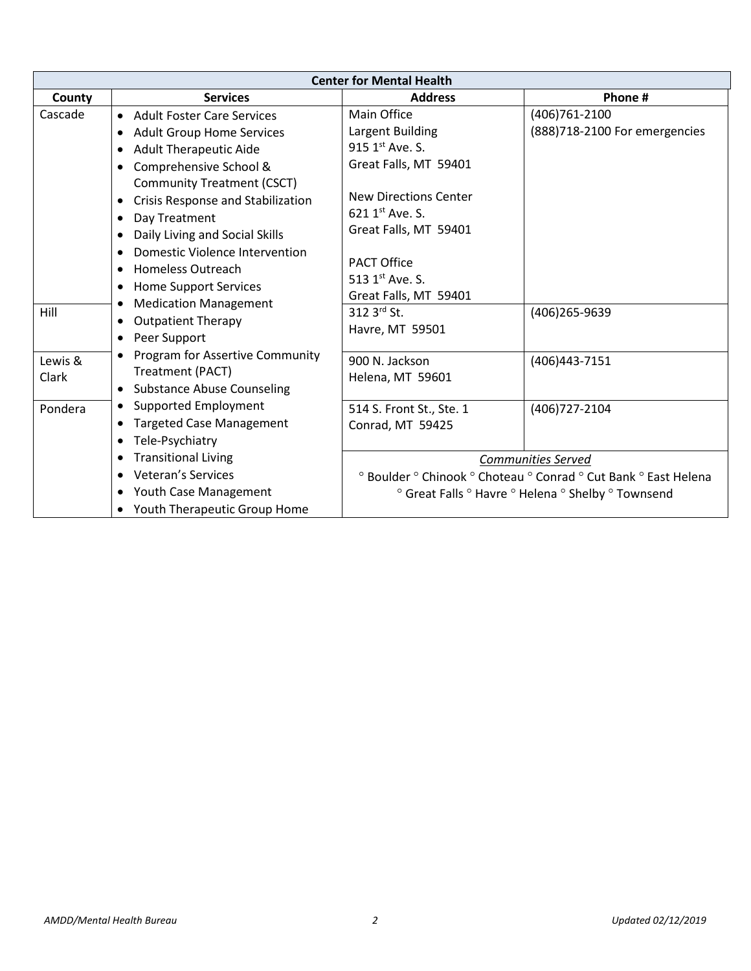| <b>Center for Mental Health</b> |                                                                                                                                                                                                                                                                                                             |                                                                                                                                            |                                                                 |
|---------------------------------|-------------------------------------------------------------------------------------------------------------------------------------------------------------------------------------------------------------------------------------------------------------------------------------------------------------|--------------------------------------------------------------------------------------------------------------------------------------------|-----------------------------------------------------------------|
| County                          | <b>Services</b>                                                                                                                                                                                                                                                                                             | <b>Address</b>                                                                                                                             | Phone #                                                         |
| Cascade                         | <b>Adult Foster Care Services</b><br>$\bullet$<br><b>Adult Group Home Services</b><br>$\bullet$                                                                                                                                                                                                             | Main Office<br>Largent Building<br>915 1 <sup>st</sup> Ave. S.                                                                             | (406) 761 - 2100<br>(888)718-2100 For emergencies               |
|                                 | <b>Adult Therapeutic Aide</b><br>$\bullet$<br>Comprehensive School &<br>$\bullet$<br><b>Community Treatment (CSCT)</b><br>Crisis Response and Stabilization<br>$\bullet$<br>Day Treatment<br>$\bullet$                                                                                                      | Great Falls, MT 59401<br>New Directions Center<br>621 $1^{st}$ Ave. S.                                                                     |                                                                 |
| Hill                            | Daily Living and Social Skills<br>$\bullet$<br><b>Domestic Violence Intervention</b><br>$\bullet$<br><b>Homeless Outreach</b><br>$\bullet$<br><b>Home Support Services</b><br>$\bullet$<br><b>Medication Management</b><br>$\bullet$<br><b>Outpatient Therapy</b><br>$\bullet$<br>Peer Support<br>$\bullet$ | Great Falls, MT 59401<br><b>PACT Office</b><br>513 1 <sup>st</sup> Ave. S.<br>Great Falls, MT 59401<br>312 $3^{rd}$ St.<br>Havre, MT 59501 | (406)265-9639                                                   |
| Lewis &<br>Clark                | Program for Assertive Community<br>$\bullet$<br>Treatment (PACT)<br><b>Substance Abuse Counseling</b><br>٠                                                                                                                                                                                                  | 900 N. Jackson<br>Helena, MT 59601                                                                                                         | (406)443-7151                                                   |
| Pondera                         | Supported Employment<br>٠<br><b>Targeted Case Management</b><br>$\bullet$<br>Tele-Psychiatry<br>$\bullet$                                                                                                                                                                                                   | 514 S. Front St., Ste. 1<br><b>Conrad, MT 59425</b>                                                                                        | (406) 727-2104                                                  |
|                                 | <b>Transitional Living</b><br>$\bullet$                                                                                                                                                                                                                                                                     |                                                                                                                                            | Communities Served                                              |
|                                 | Veteran's Services<br>$\bullet$                                                                                                                                                                                                                                                                             |                                                                                                                                            | ° Boulder ° Chinook ° Choteau ° Conrad ° Cut Bank ° East Helena |
|                                 | Youth Case Management<br>٠<br>Youth Therapeutic Group Home<br>٠                                                                                                                                                                                                                                             |                                                                                                                                            | ° Great Falls ° Havre ° Helena ° Shelby ° Townsend              |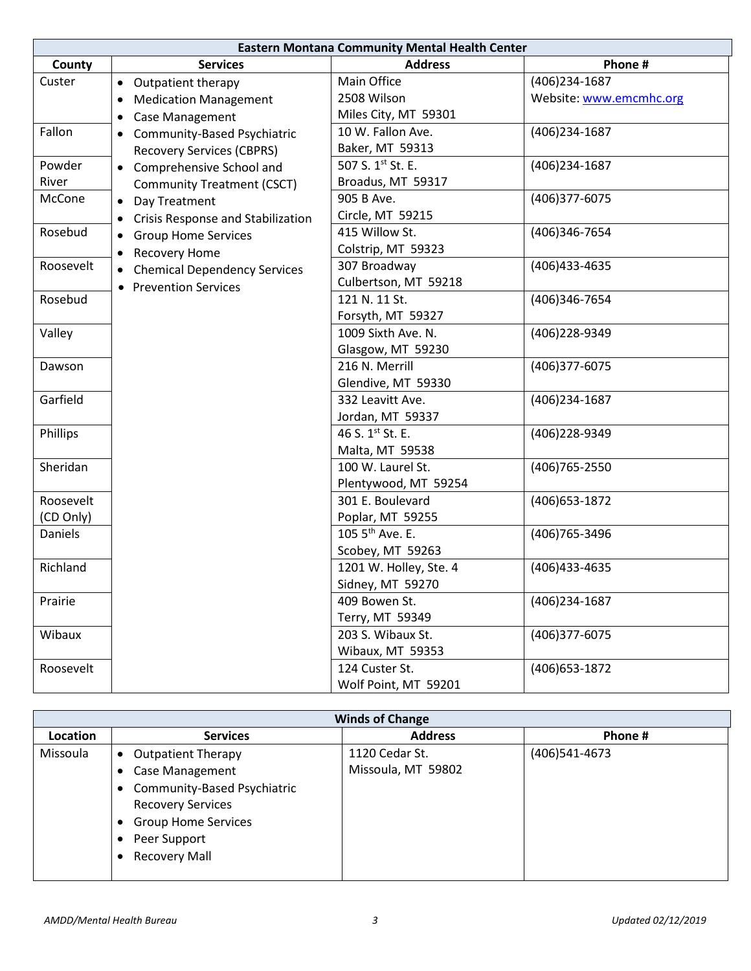| <b>Eastern Montana Community Mental Health Center</b> |                                                  |                              |                         |
|-------------------------------------------------------|--------------------------------------------------|------------------------------|-------------------------|
| County                                                | <b>Services</b>                                  | <b>Address</b>               | Phone #                 |
| Custer                                                | Outpatient therapy<br>$\bullet$                  | Main Office                  | (406)234-1687           |
|                                                       | <b>Medication Management</b><br>$\bullet$        | 2508 Wilson                  | Website: www.emcmhc.org |
|                                                       | Case Management<br>$\bullet$                     | Miles City, MT 59301         |                         |
| Fallon                                                | Community-Based Psychiatric<br>$\bullet$         | 10 W. Fallon Ave.            | (406)234-1687           |
|                                                       | <b>Recovery Services (CBPRS)</b>                 | Baker, MT 59313              |                         |
| Powder                                                | Comprehensive School and<br>$\bullet$            | 507 S. 1st St. E.            | (406) 234-1687          |
| River                                                 | <b>Community Treatment (CSCT)</b>                | Broadus, MT 59317            |                         |
| McCone                                                | Day Treatment<br>$\bullet$                       | 905 B Ave.                   | (406)377-6075           |
|                                                       | Crisis Response and Stabilization<br>$\bullet$   | Circle, MT 59215             |                         |
| Rosebud                                               | <b>Group Home Services</b><br>$\bullet$          | 415 Willow St.               | (406)346-7654           |
|                                                       | <b>Recovery Home</b>                             | Colstrip, MT 59323           |                         |
| Roosevelt                                             | <b>Chemical Dependency Services</b><br>$\bullet$ | 307 Broadway                 | (406)433-4635           |
|                                                       | <b>Prevention Services</b>                       | Culbertson, MT 59218         |                         |
| Rosebud                                               |                                                  | 121 N. 11 St.                | (406)346-7654           |
|                                                       |                                                  | Forsyth, MT 59327            |                         |
| Valley                                                |                                                  | 1009 Sixth Ave. N.           | (406)228-9349           |
|                                                       |                                                  | Glasgow, MT 59230            |                         |
| Dawson                                                |                                                  | 216 N. Merrill               | (406)377-6075           |
|                                                       |                                                  | Glendive, MT 59330           |                         |
| Garfield                                              |                                                  | 332 Leavitt Ave.             | (406)234-1687           |
|                                                       |                                                  | Jordan, MT 59337             |                         |
| Phillips                                              |                                                  | 46 S. 1 <sup>st</sup> St. E. | (406)228-9349           |
|                                                       |                                                  | Malta, MT 59538              |                         |
| Sheridan                                              |                                                  | 100 W. Laurel St.            | (406) 765-2550          |
|                                                       |                                                  | Plentywood, MT 59254         |                         |
| Roosevelt                                             |                                                  | 301 E. Boulevard             | (406) 653-1872          |
| (CD Only)                                             |                                                  | Poplar, MT 59255             |                         |
| Daniels                                               |                                                  | 105 5 <sup>th</sup> Ave. E.  | (406) 765-3496          |
|                                                       |                                                  | Scobey, MT 59263             |                         |
| Richland                                              |                                                  | 1201 W. Holley, Ste. 4       | (406)433-4635           |
|                                                       |                                                  | Sidney, MT 59270             |                         |
| Prairie                                               |                                                  | 409 Bowen St.                | (406)234-1687           |
|                                                       |                                                  | Terry, MT 59349              |                         |
| Wibaux                                                |                                                  | 203 S. Wibaux St.            | (406)377-6075           |
|                                                       |                                                  | Wibaux, MT 59353             |                         |
| Roosevelt                                             |                                                  | 124 Custer St.               | (406) 653-1872          |
|                                                       |                                                  | Wolf Point, MT 59201         |                         |

| <b>Winds of Change</b> |                                          |                    |               |  |
|------------------------|------------------------------------------|--------------------|---------------|--|
| Location               | <b>Services</b>                          | <b>Address</b>     | Phone #       |  |
| Missoula               | <b>Outpatient Therapy</b><br>$\bullet$   | 1120 Cedar St.     | (406)541-4673 |  |
|                        | <b>Case Management</b>                   | Missoula, MT 59802 |               |  |
|                        | Community-Based Psychiatric<br>$\bullet$ |                    |               |  |
|                        | <b>Recovery Services</b>                 |                    |               |  |
|                        | <b>Group Home Services</b><br>٠          |                    |               |  |
|                        | Peer Support                             |                    |               |  |
|                        | <b>Recovery Mall</b>                     |                    |               |  |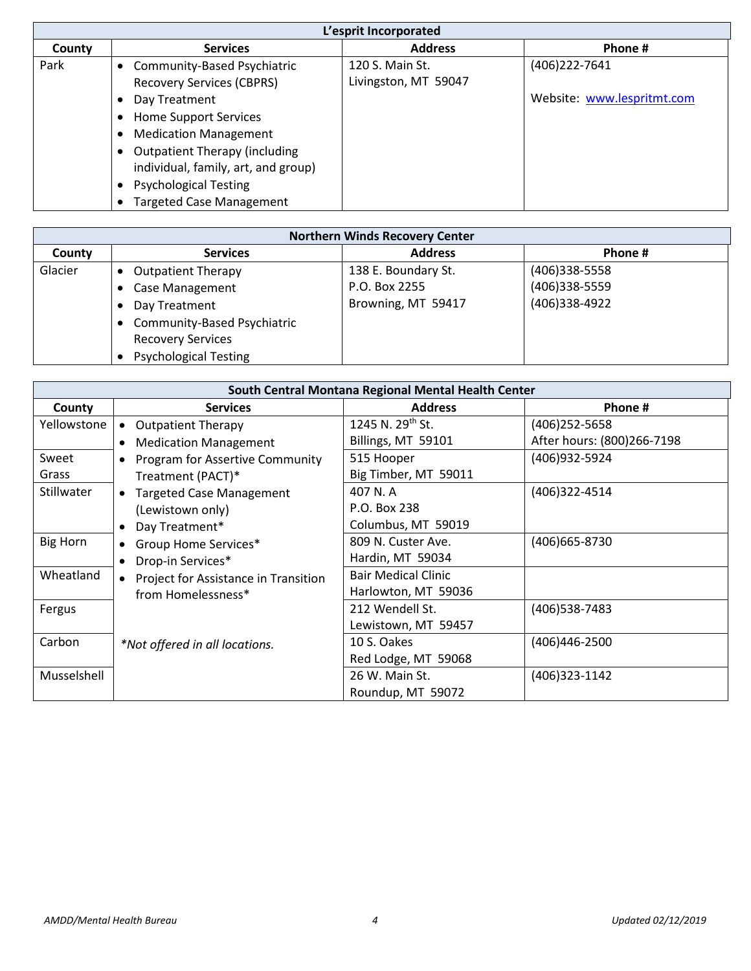| L'esprit Incorporated |                                                                                                                                                                                                                     |                                         |                                             |  |
|-----------------------|---------------------------------------------------------------------------------------------------------------------------------------------------------------------------------------------------------------------|-----------------------------------------|---------------------------------------------|--|
| County                | <b>Services</b>                                                                                                                                                                                                     | <b>Address</b>                          | Phone #                                     |  |
| Park                  | <b>Community-Based Psychiatric</b><br>٠<br><b>Recovery Services (CBPRS)</b><br>Day Treatment<br>٠                                                                                                                   | 120 S. Main St.<br>Livingston, MT 59047 | (406)222-7641<br>Website: www.lespritmt.com |  |
|                       | <b>Home Support Services</b><br>٠<br><b>Medication Management</b><br><b>Outpatient Therapy (including</b><br>individual, family, art, and group)<br><b>Psychological Testing</b><br><b>Targeted Case Management</b> |                                         |                                             |  |

| <b>Northern Winds Recovery Center</b> |                                        |                     |               |  |
|---------------------------------------|----------------------------------------|---------------------|---------------|--|
| County                                | <b>Services</b>                        | <b>Address</b>      | Phone#        |  |
| Glacier                               | <b>Outpatient Therapy</b><br>$\bullet$ | 138 E. Boundary St. | (406)338-5558 |  |
|                                       | <b>Case Management</b>                 | P.O. Box 2255       | (406)338-5559 |  |
|                                       | Day Treatment                          | Browning, MT 59417  | (406)338-4922 |  |
|                                       | <b>Community-Based Psychiatric</b>     |                     |               |  |
|                                       | <b>Recovery Services</b>               |                     |               |  |
|                                       | <b>Psychological Testing</b>           |                     |               |  |

| South Central Montana Regional Mental Health Center |                                                     |                              |                            |  |
|-----------------------------------------------------|-----------------------------------------------------|------------------------------|----------------------------|--|
| County                                              | <b>Services</b>                                     | <b>Address</b>               | Phone#                     |  |
| Yellowstone                                         | <b>Outpatient Therapy</b>                           | 1245 N. 29 <sup>th</sup> St. | (406) 252-5658             |  |
|                                                     | <b>Medication Management</b><br>$\bullet$           | Billings, MT 59101           | After hours: (800)266-7198 |  |
| Sweet                                               | <b>Program for Assertive Community</b><br>$\bullet$ | 515 Hooper                   | (406)932-5924              |  |
| Grass                                               | Treatment (PACT)*                                   | Big Timber, MT 59011         |                            |  |
| Stillwater                                          | <b>Targeted Case Management</b>                     | 407 N.A                      | (406)322-4514              |  |
|                                                     | (Lewistown only)                                    | P.O. Box 238                 |                            |  |
|                                                     | Day Treatment*<br>$\bullet$                         | Columbus, MT 59019           |                            |  |
| <b>Big Horn</b>                                     | Group Home Services*<br>$\bullet$                   | 809 N. Custer Ave.           | (406) 665-8730             |  |
|                                                     | Drop-in Services*<br>$\bullet$                      | Hardin, MT 59034             |                            |  |
| Wheatland                                           | Project for Assistance in Transition                | <b>Bair Medical Clinic</b>   |                            |  |
|                                                     | from Homelessness*                                  | Harlowton, MT 59036          |                            |  |
| Fergus                                              |                                                     | 212 Wendell St.              | (406) 538-7483             |  |
|                                                     |                                                     | Lewistown, MT 59457          |                            |  |
| Carbon                                              | *Not offered in all locations.                      | 10 S. Oakes                  | (406)446-2500              |  |
|                                                     |                                                     | Red Lodge, MT 59068          |                            |  |
| Musselshell                                         |                                                     | 26 W. Main St.               | (406)323-1142              |  |
|                                                     |                                                     | Roundup, MT 59072            |                            |  |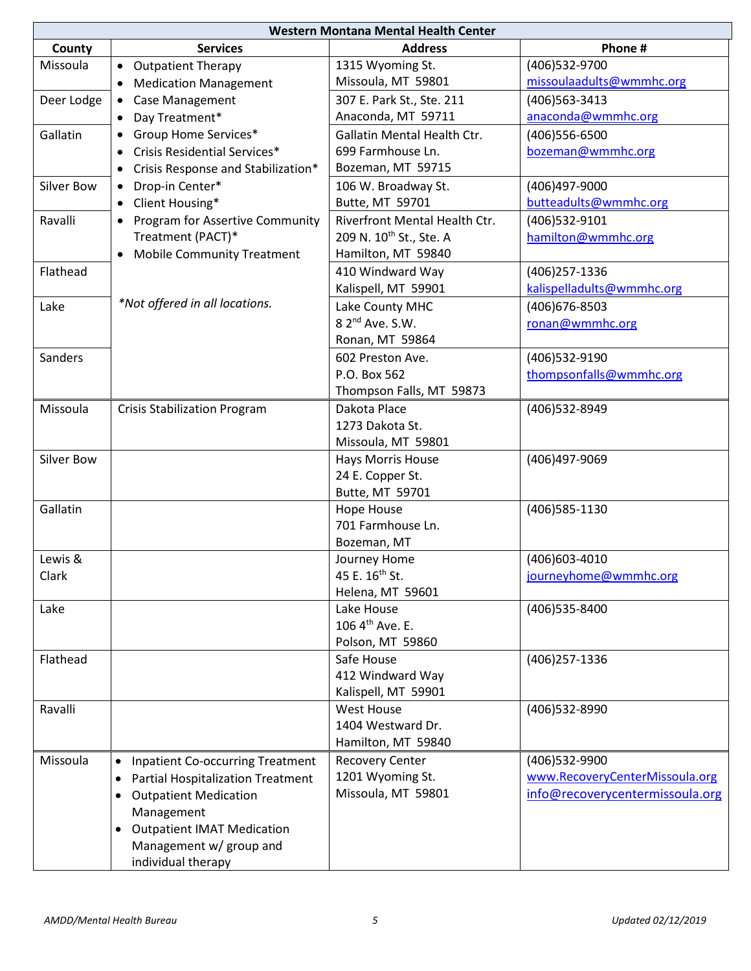| Western Montana Mental Health Center |                                                      |                                     |                                 |  |
|--------------------------------------|------------------------------------------------------|-------------------------------------|---------------------------------|--|
| County                               | <b>Services</b>                                      | <b>Address</b>                      | Phone #                         |  |
| Missoula                             | <b>Outpatient Therapy</b><br>$\bullet$               | 1315 Wyoming St.                    | (406)532-9700                   |  |
|                                      | <b>Medication Management</b><br>$\bullet$            | Missoula, MT 59801                  | missoulaadults@wmmhc.org        |  |
| Deer Lodge                           | <b>Case Management</b><br>$\bullet$                  | 307 E. Park St., Ste. 211           | (406) 563 - 3413                |  |
|                                      | Day Treatment*<br>$\bullet$                          | Anaconda, MT 59711                  | anaconda@wmmhc.org              |  |
| Gallatin                             | Group Home Services*                                 | Gallatin Mental Health Ctr.         | (406) 556-6500                  |  |
|                                      | Crisis Residential Services*                         | 699 Farmhouse Ln.                   | bozeman@wmmhc.org               |  |
|                                      | Crisis Response and Stabilization*<br>$\bullet$      | Bozeman, MT 59715                   |                                 |  |
| Silver Bow                           | Drop-in Center*<br>$\bullet$                         | 106 W. Broadway St.                 | (406)497-9000                   |  |
|                                      | Client Housing*<br>$\bullet$                         | Butte, MT 59701                     | butteadults@wmmhc.org           |  |
| Ravalli                              | Program for Assertive Community<br>$\bullet$         | Riverfront Mental Health Ctr.       | (406)532-9101                   |  |
|                                      | Treatment (PACT)*                                    | 209 N. 10 <sup>th</sup> St., Ste. A | hamilton@wmmhc.org              |  |
|                                      | <b>Mobile Community Treatment</b><br>$\bullet$       | Hamilton, MT 59840                  |                                 |  |
| Flathead                             |                                                      | 410 Windward Way                    | (406) 257-1336                  |  |
|                                      |                                                      | Kalispell, MT 59901                 | kalispelladults@wmmhc.org       |  |
| Lake                                 | *Not offered in all locations.                       | Lake County MHC                     | (406) 676-8503                  |  |
|                                      |                                                      | 8 2 <sup>nd</sup> Ave. S.W.         | ronan@wmmhc.org                 |  |
|                                      |                                                      | Ronan, MT 59864                     |                                 |  |
| Sanders                              |                                                      | 602 Preston Ave.                    | (406)532-9190                   |  |
|                                      |                                                      | P.O. Box 562                        | thompsonfalls@wmmhc.org         |  |
|                                      |                                                      | Thompson Falls, MT 59873            |                                 |  |
| Missoula                             |                                                      | Dakota Place                        | (406) 532-8949                  |  |
|                                      | <b>Crisis Stabilization Program</b>                  | 1273 Dakota St.                     |                                 |  |
|                                      |                                                      | Missoula, MT 59801                  |                                 |  |
| Silver Bow                           |                                                      | Hays Morris House                   | (406)497-9069                   |  |
|                                      |                                                      | 24 E. Copper St.                    |                                 |  |
|                                      |                                                      | Butte, MT 59701                     |                                 |  |
| Gallatin                             |                                                      | <b>Hope House</b>                   | (406) 585-1130                  |  |
|                                      |                                                      | 701 Farmhouse Ln.                   |                                 |  |
|                                      |                                                      | Bozeman, MT                         |                                 |  |
| Lewis &                              |                                                      | Journey Home                        | (406) 603-4010                  |  |
| Clark                                |                                                      | 45 E. 16 <sup>th</sup> St.          | journeyhome@wmmhc.org           |  |
|                                      |                                                      | Helena, MT 59601                    |                                 |  |
| Lake                                 |                                                      | Lake House                          | (406) 535-8400                  |  |
|                                      |                                                      | 106 4 <sup>th</sup> Ave. E.         |                                 |  |
|                                      |                                                      | Polson, MT 59860                    |                                 |  |
| Flathead                             |                                                      | Safe House                          | (406) 257-1336                  |  |
|                                      |                                                      | 412 Windward Way                    |                                 |  |
|                                      |                                                      | Kalispell, MT 59901                 |                                 |  |
| Ravalli                              |                                                      | <b>West House</b>                   | (406) 532-8990                  |  |
|                                      |                                                      | 1404 Westward Dr.                   |                                 |  |
|                                      |                                                      | Hamilton, MT 59840                  |                                 |  |
| Missoula                             | <b>Inpatient Co-occurring Treatment</b><br>$\bullet$ | <b>Recovery Center</b>              | (406)532-9900                   |  |
|                                      | <b>Partial Hospitalization Treatment</b><br>٠        | 1201 Wyoming St.                    | www.RecoveryCenterMissoula.org  |  |
|                                      | <b>Outpatient Medication</b><br>$\bullet$            | Missoula, MT 59801                  | info@recoverycentermissoula.org |  |
|                                      | Management                                           |                                     |                                 |  |
|                                      | <b>Outpatient IMAT Medication</b><br>$\bullet$       |                                     |                                 |  |
|                                      | Management w/ group and                              |                                     |                                 |  |
|                                      | individual therapy                                   |                                     |                                 |  |